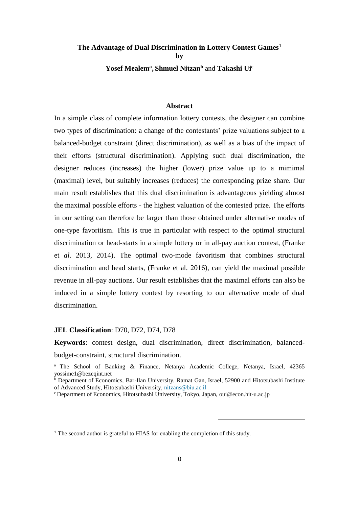# **The Advantage of Dual Discrimination in Lottery Contest Games<sup>1</sup> by Yosef Mealem<sup>a</sup> , Shmuel Nitzan<sup>b</sup>** and **Takashi Ui<sup>c</sup>**

#### **Abstract**

In a simple class of complete information lottery contests, the designer can combine two types of discrimination: a change of the contestants' prize valuations subject to a balanced-budget constraint (direct discrimination), as well as a bias of the impact of their efforts (structural discrimination). Applying such dual discrimination, the designer reduces (increases) the higher (lower) prize value up to a mimimal (maximal) level, but suitably increases (reduces) the corresponding prize share. Our main result establishes that this dual discrimination is advantageous yielding almost the maximal possible efforts - the highest valuation of the contested prize. The efforts in our setting can therefore be larger than those obtained under alternative modes of one-type favoritism. This is true in particular with respect to the optimal structural discrimination or head-starts in a simple lottery or in all-pay auction contest, (Franke et *al*. 2013, 2014). The optimal two-mode favoritism that combines structural discrimination and head starts, (Franke et al. 2016), can yield the maximal possible revenue in all-pay auctions. Our result establishes that the maximal efforts can also be induced in a simple lottery contest by resorting to our alternative mode of dual discrimination.

#### **JEL Classification**: D70, D72, D74, D78

**Keywords**: contest design, dual discrimination, direct discrimination, balancedbudget-constraint, structural discrimination.

1

<sup>a</sup>The School of Banking & Finance, Netanya Academic College, Netanya, Israel, 42365 [yossime1@bezeqint.net](mailto:yossime1@bezeqint.net)

 $\overline{b}$  Department of Economics, Bar-Ilan University, Ramat Gan, Israel, 52900 and Hitotsubashi Institute of Advanced Study, Hitotsubashi University, [nitzans@biu.ac.il](mailto:nitzans@biu.ac.il)

<sup>&</sup>lt;sup>c</sup> Department of Economics, Hitotsubashi University, Tokyo, Japan, oui@econ.hit-u.ac.jp

<sup>&</sup>lt;sup>1</sup> The second author is grateful to HIAS for enabling the completion of this study.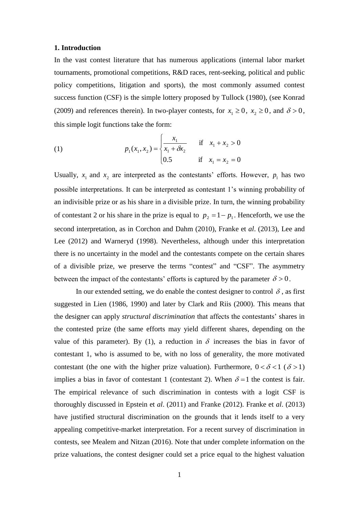#### **1. Introduction**

In the vast contest literature that has numerous applications (internal labor market tournaments, promotional competitions, R&D races, rent-seeking, political and public policy competitions, litigation and sports), the most commonly assumed contest success function (CSF) is the simple lottery proposed by Tullock (1980), (see Konrad (2009) and references therein). In two-player contests, for  $x_1 \ge 0$ ,  $x_2 \ge 0$ , and  $\delta > 0$ , this simple logit functions take the form:

(1) 
$$
p_1(x_1, x_2) = \begin{cases} \frac{x_1}{x_1 + \delta x_2} & \text{if } x_1 + x_2 > 0 \\ 0.5 & \text{if } x_1 = x_2 = 0 \end{cases}
$$

Usually,  $x_1$  and  $x_2$  are interpreted as the contestants' efforts. However,  $p_1$  has two possible interpretations. It can be interpreted as contestant 1's winning probability of an indivisible prize or as his share in a divisible prize. In turn, the winning probability of contestant 2 or his share in the prize is equal to  $p_2 = 1 - p_1$ . Henceforth, we use the second interpretation, as in Corchon and Dahm (2010), Franke et *al*. (2013), Lee and Lee (2012) and Warneryd (1998). Nevertheless, although under this interpretation there is no uncertainty in the model and the contestants compete on the certain shares of a divisible prize, we preserve the terms "contest" and "CSF". The asymmetry between the impact of the contestants' efforts is captured by the parameter  $\delta > 0$ .

In our extended setting, we do enable the contest designer to control  $\delta$ , as first suggested in Lien (1986, 1990) and later by Clark and Riis (2000). This means that the designer can apply *structural discrimination* that affects the contestants' shares in the contested prize (the same efforts may yield different shares, depending on the value of this parameter). By (1), a reduction in  $\delta$  increases the bias in favor of contestant 1, who is assumed to be, with no loss of generality, the more motivated contestant (the one with the higher prize valuation). Furthermore,  $0 < \delta < 1$  ( $\delta > 1$ ) implies a bias in favor of contestant 1 (contestant 2). When  $\delta = 1$  the contest is fair. The empirical relevance of such discrimination in contests with a logit CSF is thoroughly discussed in Epstein et *al*. (2011) and Franke (2012). Franke et *al*. (2013) have justified structural discrimination on the grounds that it lends itself to a very appealing competitive-market interpretation. For a recent survey of discrimination in contests, see Mealem and Nitzan (2016). Note that under complete information on the prize valuations, the contest designer could set a price equal to the highest valuation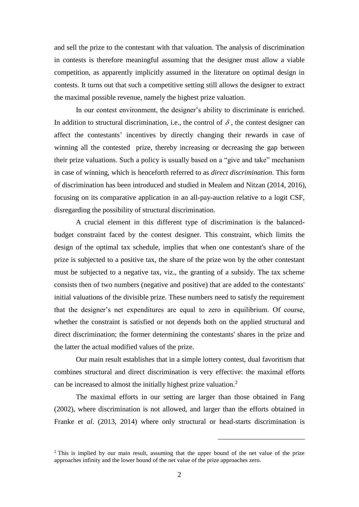and sell the prize to the contestant with that valuation. The analysis of discrimination in contests is therefore meaningful assuming that the designer must allow a viable competition, as apparently implicitly assumed in the literature on optimal design in contests. It turns out that such a competitive setting still allows the designer to extract the maximal possible revenue, namely the highest prize valuation.

In our contest environment, the designer's ability to discriminate is enriched. In addition to structural discrimination, i.e., the control of  $\delta$ , the contest designer can affect the contestants' incentives by directly changing their rewards in case of winning all the contested prize, thereby increasing or decreasing the gap between their prize valuations. Such a policy is usually based on a "give and take" mechanism in case of winning, which is henceforth referred to as *direct discrimination*. This form of discrimination has been introduced and studied in Mealem and Nitzan (2014, 2016), focusing on its comparative application in an all-pay-auction relative to a logit CSF, disregarding the possibility of structural discrimination.

A crucial element in this different type of discrimination is the balancedbudget constraint faced by the contest designer. This constraint, which limits the design of the optimal tax schedule, implies that when one contestant's share of the prize is subjected to a positive tax, the share of the prize won by the other contestant must be subjected to a negative tax, viz., the granting of a subsidy. The tax scheme consists then of two numbers (negative and positive) that are added to the contestants' initial valuations of the divisible prize. These numbers need to satisfy the requirement that the designer's net expenditures are equal to zero in equilibrium. Of course, whether the constraint is satisfied or not depends both on the applied structural and direct discrimination; the former determining the contestants' shares in the prize and the latter the actual modified values of the prize.

Our main result establishes that in a simple lottery contest, dual favoritism that combines structural and direct discrimination is very effective: the maximal efforts can be increased to almost the initially highest prize valuation.<sup>2</sup>

The maximal efforts in our setting are larger than those obtained in Fang (2002), where discrimination is not allowed, and larger than the efforts obtained in Franke et *al*. (2013, 2014) where only structural or head-starts discrimination is

1

<sup>&</sup>lt;sup>2</sup> This is implied by our main result, assuming that the upper bound of the net value of the prize approaches infinity and the lower bound of the net value of the prize approaches zero.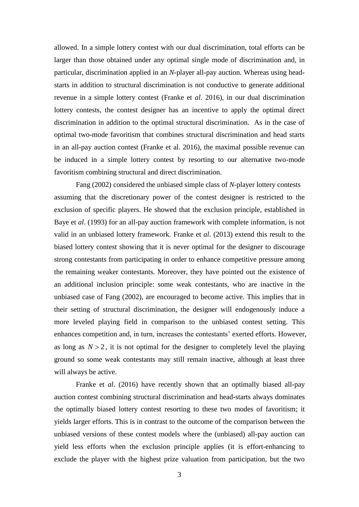allowed. In a simple lottery contest with our dual discrimination, total efforts can be larger than those obtained under any optimal single mode of discrimination and, in particular, discrimination applied in an *N*-player all-pay auction. Whereas using headstarts in addition to structural discrimination is not conductive to generate additional revenue in a simple lottery contest (Franke et *al*. 2016), in our dual discrimination lottery contests, the contest designer has an incentive to apply the optimal direct discrimination in addition to the optimal structural discrimination. As in the case of optimal two-mode favoritism that combines structural discrimination and head starts in an all-pay auction contest (Franke et al. 2016), the maximal possible revenue can be induced in a simple lottery contest by resorting to our alternative two-mode favoritism combining structural and direct discrimination.

Fang (2002) considered the unbiased simple class of *N*-player lottery contests assuming that the discretionary power of the contest designer is restricted to the exclusion of specific players. He showed that the exclusion principle, established in Baye et *al*. (1993) for an all-pay auction framework with complete information, is not valid in an unbiased lottery framework. Franke et *al*. (2013) extend this result to the biased lottery contest showing that it is never optimal for the designer to discourage strong contestants from participating in order to enhance competitive pressure among the remaining weaker contestants. Moreover, they have pointed out the existence of an additional inclusion principle: some weak contestants, who are inactive in the unbiased case of Fang (2002), are encouraged to become active. This implies that in their setting of structural discrimination, the designer will endogenously induce a more leveled playing field in comparison to the unbiased contest setting. This enhances competition and, in turn, increases the contestants' exerted efforts. However, as long as  $N > 2$ , it is not optimal for the designer to completely level the playing ground so some weak contestants may still remain inactive, although at least three will always be active.

Franke et *al*. (2016) have recently shown that an optimally biased all-pay auction contest combining structural discrimination and head-starts always dominates the optimally biased lottery contest resorting to these two modes of favoritism; it yields larger efforts. This is in contrast to the outcome of the comparison between the unbiased versions of these contest models where the (unbiased) all-pay auction can yield less efforts when the exclusion principle applies (it is effort-enhancing to exclude the player with the highest prize valuation from participation, but the two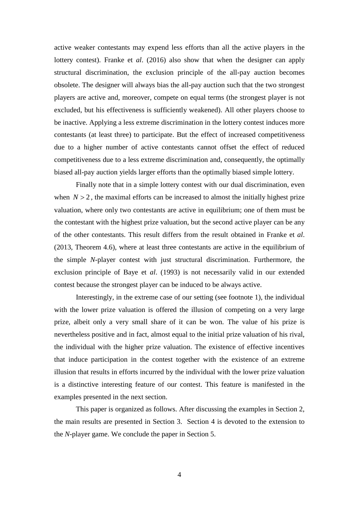active weaker contestants may expend less efforts than all the active players in the lottery contest). Franke et *al*. (2016) also show that when the designer can apply structural discrimination, the exclusion principle of the all-pay auction becomes obsolete. The designer will always bias the all-pay auction such that the two strongest players are active and, moreover, compete on equal terms (the strongest player is not excluded, but his effectiveness is sufficiently weakened). All other players choose to be inactive. Applying a less extreme discrimination in the lottery contest induces more contestants (at least three) to participate. But the effect of increased competitiveness due to a higher number of active contestants cannot offset the effect of reduced competitiveness due to a less extreme discrimination and, consequently, the optimally biased all-pay auction yields larger efforts than the optimally biased simple lottery.

Finally note that in a simple lottery contest with our dual discrimination, even when  $N > 2$ , the maximal efforts can be increased to almost the initially highest prize valuation, where only two contestants are active in equilibrium; one of them must be the contestant with the highest prize valuation, but the second active player can be any of the other contestants. This result differs from the result obtained in Franke et *al*. (2013, Theorem 4.6), where at least three contestants are active in the equilibrium of the simple *N*-player contest with just structural discrimination. Furthermore, the exclusion principle of Baye et *al*. (1993) is not necessarily valid in our extended contest because the strongest player can be induced to be always active.

Interestingly, in the extreme case of our setting (see footnote 1), the individual with the lower prize valuation is offered the illusion of competing on a very large prize, albeit only a very small share of it can be won. The value of his prize is nevertheless positive and in fact, almost equal to the initial prize valuation of his rival, the individual with the higher prize valuation. The existence of effective incentives that induce participation in the contest together with the existence of an extreme illusion that results in efforts incurred by the individual with the lower prize valuation is a distinctive interesting feature of our contest. This feature is manifested in the examples presented in the next section.

This paper is organized as follows. After discussing the examples in Section 2, the main results are presented in Section 3. Section 4 is devoted to the extension to the *N*-player game. We conclude the paper in Section 5.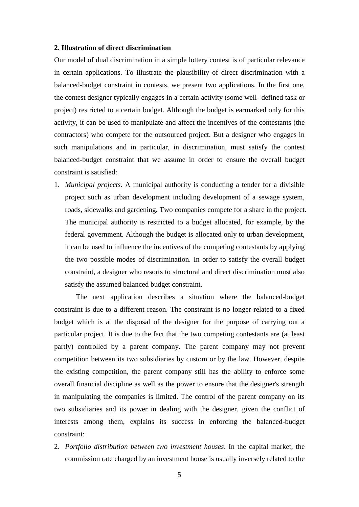#### **2. Illustration of direct discrimination**

Our model of dual discrimination in a simple lottery contest is of particular relevance in certain applications. To illustrate the plausibility of direct discrimination with a balanced-budget constraint in contests, we present two applications. In the first one, the contest designer typically engages in a certain activity (some well- defined task or project) restricted to a certain budget. Although the budget is earmarked only for this activity, it can be used to manipulate and affect the incentives of the contestants (the contractors) who compete for the outsourced project. But a designer who engages in such manipulations and in particular, in discrimination, must satisfy the contest balanced-budget constraint that we assume in order to ensure the overall budget constraint is satisfied:

1. *Municipal projects*. A municipal authority is conducting a tender for a divisible project such as urban development including development of a sewage system, roads, sidewalks and gardening. Two companies compete for a share in the project. The municipal authority is restricted to a budget allocated, for example, by the federal government. Although the budget is allocated only to urban development, it can be used to influence the incentives of the competing contestants by applying the two possible modes of discrimination. In order to satisfy the overall budget constraint, a designer who resorts to structural and direct discrimination must also satisfy the assumed balanced budget constraint.

The next application describes a situation where the balanced-budget constraint is due to a different reason. The constraint is no longer related to a fixed budget which is at the disposal of the designer for the purpose of carrying out a particular project. It is due to the fact that the two competing contestants are (at least partly) controlled by a parent company. The parent company may not prevent competition between its two subsidiaries by custom or by the law. However, despite the existing competition, the parent company still has the ability to enforce some overall financial discipline as well as the power to ensure that the designer's strength in manipulating the companies is limited. The control of the parent company on its two subsidiaries and its power in dealing with the designer, given the conflict of interests among them, explains its success in enforcing the balanced-budget constraint:

2. *Portfolio distribution between two investment houses*. In the capital market, the commission rate charged by an investment house is usually inversely related to the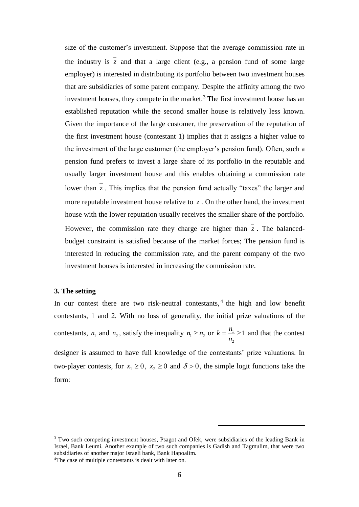size of the customer's investment. Suppose that the average commission rate in the industry is  $z$  and that a large client (e.g., a pension fund of some large employer) is interested in distributing its portfolio between two investment houses that are subsidiaries of some parent company. Despite the affinity among the two investment houses, they compete in the market.<sup>3</sup> The first investment house has an established reputation while the second smaller house is relatively less known. Given the importance of the large customer, the preservation of the reputation of the first investment house (contestant 1) implies that it assigns a higher value to the investment of the large customer (the employer's pension fund). Often, such a pension fund prefers to invest a large share of its portfolio in the reputable and usually larger investment house and this enables obtaining a commission rate lower than z. This implies that the pension fund actually "taxes" the larger and more reputable investment house relative to  $z$ . On the other hand, the investment house with the lower reputation usually receives the smaller share of the portfolio. However, the commission rate they charge are higher than *z* . The balancedbudget constraint is satisfied because of the market forces; The pension fund is interested in reducing the commission rate, and the parent company of the two investment houses is interested in increasing the commission rate.

## **3. The setting**

In our contest there are two risk-neutral contestants,  $4$  the high and low benefit contestants, 1 and 2. With no loss of generality, the initial prize valuations of the contestants,  $n_1$  and  $n_2$ , satisfy the inequality  $n_1 \ge n_2$  or  $k = \frac{n_1}{n_1}$ 2  $k = \frac{n_1}{n_2} \geq 1$ *n*  $=\frac{n_1}{n_2}\geq 1$  and that the contest designer is assumed to have full knowledge of the contestants' prize valuations. In two-player contests, for  $x_1 \ge 0$ ,  $x_2 \ge 0$  and  $\delta > 0$ , the simple logit functions take the form:

**.** 

<sup>&</sup>lt;sup>3</sup> Two such competing investment houses, Psagot and Ofek, were subsidiaries of the leading Bank in Israel, Bank Leumi. Another example of two such companies is Gadish and Tagmulim, that were two subsidiaries of another major Israeli bank, Bank Hapoalim. 4The case of multiple contestants is dealt with later on.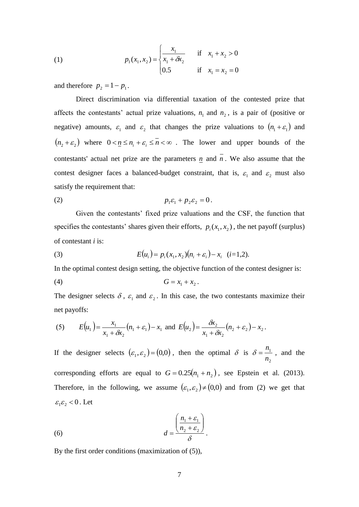(1) 
$$
p_1(x_1, x_2) = \begin{cases} \frac{x_1}{x_1 + \delta x_2} & \text{if } x_1 + x_2 > 0 \\ 0.5 & \text{if } x_1 = x_2 = 0 \end{cases}
$$

and therefore  $p_2 = 1 - p_1$ .

Direct discrimination via differential taxation of the contested prize that affects the contestants' actual prize valuations,  $n_1$  and  $n_2$ , is a pair of (positive or negative) amounts,  $\varepsilon_1$  and  $\varepsilon_2$  that changes the prize valuations to  $(n_1 + \varepsilon_1)$  and  $(n_2 + \varepsilon_2)$  where  $0 < \underline{n} \le n_i + \varepsilon_i \le n < \infty$ . The lower and upper bounds of the contestants' actual net prize are the parameters  $n$  and  $n$ . We also assume that the contest designer faces a balanced-budget constraint, that is,  $\varepsilon_1$  and  $\varepsilon_2$  must also satisfy the requirement that:

$$
(2) \t\t\t p_1\varepsilon_1 + p_2\varepsilon_2 = 0.
$$

Given the contestants' fixed prize valuations and the CSF, the function that specifies the contestants' shares given their efforts,  $p_i(x_1, x_2)$ , the net payoff (surplus) of contestant *i* is:

(3) 
$$
E(u_i) = p_i(x_1, x_2)(n_i + \varepsilon_i) - x_i \quad (i = 1, 2).
$$

In the optimal contest design setting, the objective function of the contest designer is:

$$
(4) \tG = x_1 + x_2.
$$

The designer selects  $\delta$ ,  $\varepsilon_1$  and  $\varepsilon_2$ . In this case, the two contestants maximize their net payoffs:

(5) 
$$
E(u_1) = \frac{x_1}{x_1 + \delta x_2} (n_1 + \varepsilon_1) - x_1
$$
 and  $E(u_2) = \frac{\delta x_2}{x_1 + \delta x_2} (n_2 + \varepsilon_2) - x_2$ .

If the designer selects  $(\varepsilon_1, \varepsilon_2) = (0, 0)$ , then the optimal  $\delta$  is 2 1 *n*  $\delta = \frac{n_1}{n_1}$ , and the corresponding efforts are equal to  $G = 0.25(n_1 + n_2)$ , see Epstein et al. (2013). Therefore, in the following, we assume  $(\varepsilon_1, \varepsilon_2) \neq (0,0)$  and from (2) we get that  $\varepsilon_1 \varepsilon_2 < 0$ . Let

(6) 
$$
d = \frac{\left(\frac{n_1 + \varepsilon_1}{n_2 + \varepsilon_2}\right)}{\delta}.
$$

By the first order conditions (maximization of (5)),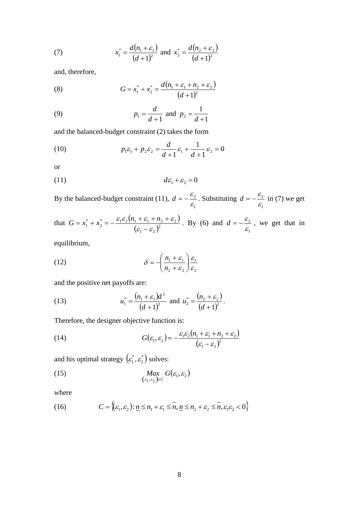(7) 
$$
x_1^* = \frac{d(n_1 + \varepsilon_1)}{(d+1)^2}
$$
 and  $x_2^* = \frac{d(n_2 + \varepsilon_2)}{(d+1)^2}$ 

and, therefore,

(8) 
$$
G = x_1^* + x_2^* = \frac{d(n_1 + \varepsilon_1 + n_2 + \varepsilon_2)}{(d+1)^2}
$$

(9) 
$$
p_1 = \frac{d}{d+1}
$$
 and  $p_2 = \frac{1}{d+1}$ 

and the balanced-budget constraint (2) takes the form

(10) 
$$
p_1 \varepsilon_1 + p_2 \varepsilon_2 = \frac{d}{d+1} \varepsilon_1 + \frac{1}{d+1} \varepsilon_2 = 0
$$

or

$$
(11) \t\t d\varepsilon_1 + \varepsilon_2 = 0
$$

By the balanced-budget constraint (11), 1 2  $\mathcal E$  $d = -\frac{\varepsilon_2}{2}$ . Substituting 1 2 ε  $d = -\frac{\varepsilon_2}{\varepsilon_2}$  in (7) we get

that  $G = x_1^* + x_2^* = -\frac{\varepsilon_1 \varepsilon_2 (n_1 + \varepsilon_1 + n_2 + \varepsilon_2)}{(\varepsilon_1 + n_2 + \varepsilon_2)}$  $(\varepsilon_1-\varepsilon_2)^2$  $1 - \mathbf{c}_2$  $\frac{1}{2} = -\frac{\epsilon_1 \epsilon_2 (n_1 + \epsilon_1 + n_2 + \epsilon_2)}{(n_1 + n_2 + \epsilon_2)}$ \*  $1 + \lambda_2 = \epsilon_1 - \epsilon_2$  $\mathcal{E}_1 \mathcal{E}_2 \setminus \mathcal{U}_1 + \mathcal{E}_2 + \mathcal{U}_2 + \mathcal{E}_3$  $\overline{a}$  $G = x_1^* + x_2^* = -\frac{\varepsilon_1 \varepsilon_2 (n_1 + \varepsilon_1 + n_2 + \varepsilon_2)}{(n_1 + \varepsilon_2 + n_2)}$ . By (6) and 1 2 ε  $d = -\frac{\varepsilon_2}{\varepsilon_2}$ , we get that in

equilibrium,

(12) 
$$
\delta = -\left(\frac{n_1 + \varepsilon_1}{n_2 + \varepsilon_2}\right)\frac{\varepsilon_1}{\varepsilon_2}
$$

and the positive net payoffs are:

(13) 
$$
u_1^* = \frac{(n_1 + \varepsilon_1)d^2}{(d+1)^2} \text{ and } u_2^* = \frac{(n_2 + \varepsilon_2)}{(d+1)^2}.
$$

Therefore, the designer objective function is:

(14) 
$$
G(\varepsilon_1,\varepsilon_2) = -\frac{\varepsilon_1 \varepsilon_2 (n_1 + \varepsilon_1 + n_2 + \varepsilon_2)}{(\varepsilon_1 - \varepsilon_2)^2}
$$

and his optimal strategy  $(\varepsilon_1^*, \varepsilon_2^*)$ 2 \*  $\left[ \varepsilon _{1}^{*},\varepsilon _{2}^{*}\right)$  solves:

(15) 
$$
\qquad \qquad \max_{(\varepsilon_1,\varepsilon_2)\in C} G(\varepsilon_1,\varepsilon_2)
$$

where

(16) 
$$
C = \left\{ (\varepsilon_1, \varepsilon_2) : \underline{n} \le n_1 + \varepsilon_1 \le \overline{n}, \underline{n} \le n_2 + \varepsilon_2 \le \overline{n}, \varepsilon_1 \varepsilon_2 < 0 \right\}
$$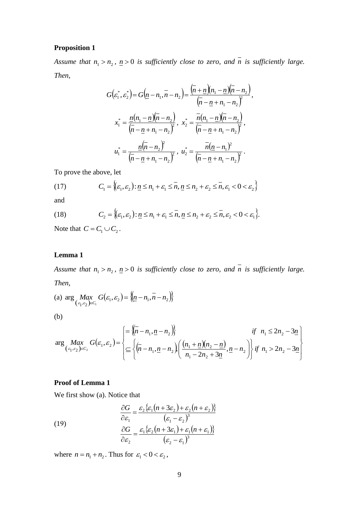## **Proposition 1**

Assume that  $n_1 > n_2$ ,  $n \geq 0$  is sufficiently close to zero, and *n* is sufficiently large. *Then,*

$$
G(\varepsilon_1^*, \varepsilon_2^*) = G(n - n_1, n - n_2) = \frac{(\overline{n} + \underline{n})(n_1 - \underline{n})(\overline{n} - n_2)}{(\overline{n} - \underline{n} + n_1 - n_2)^2},
$$
  

$$
x_1^* = \frac{\underline{n}(n_1 - \underline{n})(\overline{n} - n_2)}{(\overline{n} - \underline{n} + n_1 - n_2)^2}, \quad x_2^* = \frac{\overline{n}(n_1 - \underline{n})(\overline{n} - n_2)}{(\overline{n} - \underline{n} + n_1 - n_2)^2},
$$
  

$$
u_1^* = \frac{\underline{n}(\overline{n} - n_2)^2}{(\overline{n} - \underline{n} + n_1 - n_2)^2}, \quad u_2^* = \frac{\overline{n}(n_1 - n_1)^2}{(\overline{n} - \underline{n} + n_1 - n_2)^2}.
$$

To prove the above, let

(17) 
$$
C_1 = \left\{ (\varepsilon_1, \varepsilon_2) : \underline{n} \le n_1 + \varepsilon_1 \le \overline{n}, \underline{n} \le n_2 + \varepsilon_2 \le \overline{n}, \varepsilon_1 < 0 < \varepsilon_2 \right\}
$$

and

(18) 
$$
C_2 = \Big\{ \varepsilon_1, \varepsilon_2 \Big\} : \underline{n} \le n_1 + \varepsilon_1 \le \overline{n}, \underline{n} \le n_2 + \varepsilon_2 \le \overline{n}, \varepsilon_2 < 0 < \varepsilon_1 \Big\}.
$$

Note that  $C = C_1 \cup C_2$ .

# **Lemma 1**

Assume that  $n_1 > n_2$ ,  $n \geq 0$  is sufficiently close to zero, and *n* is sufficiently large. *Then,*

(a) arg 
$$
\underset{(\epsilon_1,\epsilon_2)\in C_1}{Max} G(\epsilon_1,\epsilon_2) = \left\{ \underline{n} - n_1, \overline{n} - n_2 \right\}
$$

(b)

$$
\arg\max_{\{\varepsilon_1,\varepsilon_2\}\in C_2} G(\varepsilon_1,\varepsilon_2) = \begin{cases} = \left\{ \left( \frac{n}{n} - n_1, \frac{n}{2} - n_2 \right) \right\} & \text{if } n_1 \leq 2n_2 - 3n \\ = \left\{ \left( \frac{n}{n} - n_1, \frac{n}{2} - n_2 \right) \left( \frac{(n_1 + n)(n_2 - n)}{n_1 - 2n_2 + 3n}, \frac{n}{2} - n_2 \right) \right\} & \text{if } n_1 > 2n_2 - 3n \end{cases}
$$

## **Proof of Lemma 1**

We first show (a). Notice that

(19)  
\n
$$
\frac{\partial G}{\partial \varepsilon_1} = \frac{\varepsilon_2 \{\varepsilon_1 (n + 3\varepsilon_2) + \varepsilon_2 (n + \varepsilon_2)\}}{(\varepsilon_1 - \varepsilon_2)^3}
$$
\n
$$
\frac{\partial G}{\partial \varepsilon_2} = \frac{\varepsilon_1 \{\varepsilon_2 (n + 3\varepsilon_1) + \varepsilon_1 (n + \varepsilon_1)\}}{(\varepsilon_2 - \varepsilon_1)^3}
$$

where  $n = n_1 + n_2$ . Thus for  $\varepsilon_1 < 0 < \varepsilon_2$ ,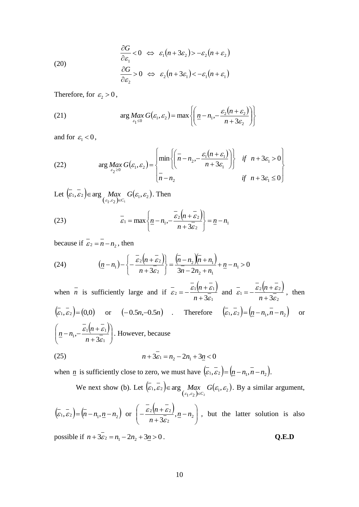(20)  
\n
$$
\frac{\partial G}{\partial \varepsilon_1} < 0 \iff \varepsilon_1(n+3\varepsilon_2) > -\varepsilon_2(n+\varepsilon_2)
$$
\n
$$
\frac{\partial G}{\partial \varepsilon_2} > 0 \iff \varepsilon_2(n+3\varepsilon_1) < -\varepsilon_1(n+\varepsilon_1)
$$

Therefore, for  $\varepsilon_2 > 0$ ,

(21) 
$$
\arg\max_{\varepsilon_1\leq 0} G(\varepsilon_1,\varepsilon_2) = \max\left\{ \left( \frac{n}{2} - n_1, -\frac{\varepsilon_2(n+\varepsilon_2)}{n+3\varepsilon_2} \right) \right\}
$$

and for  $\varepsilon_1 < 0$ ,

(22) 
$$
\arg\max_{\varepsilon_2\geq 0} G(\varepsilon_1,\varepsilon_2) = \begin{cases} \min\left\{ \left( \frac{-}{n} - n_2, -\frac{\varepsilon_1(n+\varepsilon_1)}{n+3\varepsilon_1} \right) \right\} & \text{if } n+3\varepsilon_1 > 0\\ \frac{-}{n} - n_2 & \text{if } n+3\varepsilon_1 \leq 0 \end{cases}
$$

Let  $(\varepsilon_1, \varepsilon_2)$  $Max_{(\varepsilon_1,\varepsilon_2)\in C_1}G(\varepsilon_1,\varepsilon_2)$  $i^{3}$  $(a_1, \varepsilon_2) \in \arg Max \quad G(\varepsilon_1,$ 1  $\varepsilon_1, \varepsilon_2 \in \arg$  Max  $G(\varepsilon_1, \varepsilon_2)$  $\epsilon \in \arg\max_{\{\varepsilon_1,\varepsilon_2\}\in C_1} G(\varepsilon_1,\varepsilon_2).$  Then

(23) 
$$
\overline{\varepsilon}_1 = \max \left\{ \underline{n} - n_1, -\frac{\overline{\varepsilon}_2 (n + \overline{\varepsilon}_2)}{n + 3 \overline{\varepsilon}_2} \right\} = \underline{n} - n_1
$$

because if  $\varepsilon_2 = n - n_2$ , then

(24) 
$$
\left(\underline{n} - n_1\right) - \left\{-\frac{\overline{\varepsilon}_2\left(n + \overline{\varepsilon}_2\right)}{n + 3\overline{\varepsilon}_2}\right\} = \frac{\left(\overline{n} - n_2\right)\left(n + n_1\right)}{3\overline{n} - 2n_2 + n_1} + \underline{n} - n_1 > 0
$$

when  $n$  is sufficiently large and if  $(n+\varepsilon_1)$ 1  $2=-\frac{\mathcal{E}_1(n+\mathcal{E}_1)}{n+3\mathcal{E}_1}$  $\overline{\varepsilon}_2 = -\frac{\varepsilon_1 (n+\varepsilon)}{n+3\varepsilon_1}$  $=-\frac{\varepsilon_1(n+1)}{2}$ *n*  $\frac{n+\varepsilon_1}{n}$  and  $(n+\varepsilon_2)$ 2  $\epsilon_1 = -\frac{\varepsilon_2(n+\varepsilon_2)}{n+3\varepsilon_2}$  $\overline{\varepsilon}_1 = -\frac{\varepsilon_2 (n+\varepsilon)}{n+3\varepsilon_2}$  $=-\frac{\varepsilon_2(n+1)}{2}$ *n*  $\frac{n+\varepsilon_2}{\sigma}$ , then  $(\varepsilon_1, \varepsilon_2) = (0,0)$  or  $(-0.5n, -0.5n)$  . Therefore  $(\varepsilon_1, \varepsilon_2) = (\underline{n} - n_1, n - n_2)$  or  $(n+\varepsilon_1)$  $\overline{\phantom{a}}$ J  $\backslash$  $\overline{\phantom{a}}$  $\setminus$ ſ  $\overline{+}$  $-n_1, -\frac{\varepsilon_1(n+1)}{2}$ 1  $1 \left( n + \varepsilon \right)$  $\frac{1}{n+3}$  $-\frac{\epsilon_1(n+\epsilon)}{n+3\epsilon}$  $\varepsilon_1 n + \varepsilon$ *n*  $n - n_1 - \frac{\varepsilon_1 (n + \varepsilon_1)}{n}$ . However, because (25)  $n + 3\overline{2}i_1 = n_2 - 2n_1 + 3n_2 < 0$ 

when  $\underline{n}$  is sufficiently close to zero, we must have  $(\varepsilon_1, \varepsilon_2) = (\underline{n} - n_1, n - n_2)$ .

We next show (b). Let  $(\varepsilon_1, \varepsilon_2)$  $\mathop{Max}\limits_{\left(\varepsilon_{1},\varepsilon_{2}\right)\in C_{2}}G(\varepsilon_{1},\varepsilon_{2})$  $i_1$ , $\varepsilon_2$  $\mathcal{L}_1, \mathcal{E}_2$  =  $\arg$  , Max  $G(\mathcal{E}_1,$ 2  $\varepsilon_1$ ,  $\varepsilon_2$  i e arg *Max* Gi $\varepsilon_1$ ,  $\varepsilon$  $\in \arg \max_{(\varepsilon_1,\varepsilon_2)\in C_2} G(\varepsilon_1,\varepsilon_2)$ . By a similar argument,

$$
\left(\overline{\varepsilon_1}, \overline{\varepsilon_2}\right) = \left(\overline{n} - n_1, \underline{n} - n_2\right) \text{ or } \left(-\frac{\overline{\varepsilon_2}\left(n + \overline{\varepsilon_2}\right)}{n + 3\overline{\varepsilon_2}}, \underline{n} - n_2\right), \text{ but the latter solution is also}
$$

possible if  $n + 3\varepsilon_2 = n_1 - 2n_2 + 3n_2 > 0$ . **Q.E.D**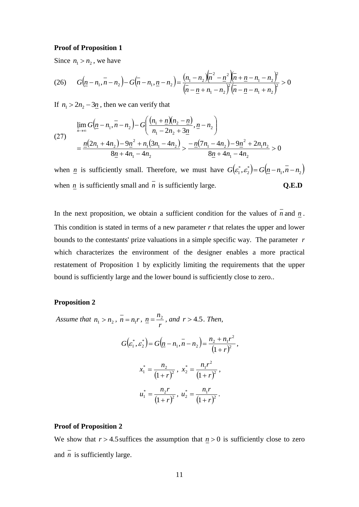#### **Proof of Proposition 1**

Since  $n_1 > n_2$ , we have

$$
(26) \qquad G\left(\underline{n}-n_1,\overline{n}-n_2\right)-G\left(\overline{n}-n_1,\underline{n}-n_2\right)=\frac{\left(n_1-n_2\right)\left(\overline{n}^2-\underline{n}^2\right)\left(\overline{n}+\underline{n}-n_1-n_2\right)^2}{\left(\overline{n}-\underline{n}+n_1-n_2\right)^2\left(\overline{n}-\underline{n}-n_1+n_2\right)^2}>0
$$

If  $n_1 > 2n_2 - 3n$ , then we can verify that

(27)  
\n
$$
\lim_{n\to\infty} G(n - n_1, n - n_2) - G\left(\frac{(n_1 + n)(n_2 - n)}{n_1 - 2n_2 + 3n}, n - n_2\right)
$$
\n
$$
= \frac{n(2n_1 + 4n_2) - 9n^2 + n_1(3n_1 - 4n_2)}{8n_1 + 4n_1 - 4n_2} > \frac{-n(7n_1 - 4n_2) - 9n^2 + 2n_1n_2}{8n_1 + 4n_1 - 4n_2} > 0
$$

when <u>n</u> is sufficiently small. Therefore, we must have  $G(e_1^*, e_2^*) = G(n - n_1, n - n_2)$ 2  $G\left(\varepsilon_1^*, \varepsilon_2^*\right) = G\left(\underline{n} - n_1, \overline{n} - n_2\right)$ when  $n_i$  is sufficiently small and  $n_i$  is sufficiently large. **Q.E.D** 

In the next proposition, we obtain a sufficient condition for the values of  $n$  and  $n$ . This condition is stated in terms of a new parameter *r* that relates the upper and lower bounds to the contestants' prize valuations in a simple specific way. The parameter *r*  which characterizes the environment of the designer enables a more practical restatement of Proposition 1 by explicitly limiting the requirements that the upper bound is sufficiently large and the lower bound is sufficiently close to zero..

#### **Proposition 2**

*Assume that*  $n_1 > n_2$ ,  $n = n_1 r$ , *r*  $n = \frac{n_2}{n_1}$ , and  $r > 4.5$ . Then,

$$
G\left(\varepsilon_1^*, \varepsilon_2^*\right) = G\left(\underline{n} - n_1, \overline{n} - n_2\right) = \frac{n_2 + n_1 r^2}{\left(1 + r\right)^2},
$$
  

$$
x_1^* = \frac{n_2}{\left(1 + r\right)^2}, \quad x_2^* = \frac{n_1 r^2}{\left(1 + r\right)^2},
$$
  

$$
u_1^* = \frac{n_2 r}{\left(1 + r\right)^2}, \quad u_2^* = \frac{n_1 r}{\left(1 + r\right)^2}.
$$

## **Proof of Proposition 2**

We show that  $r > 4.5$  suffices the assumption that  $n > 0$  is sufficiently close to zero and *n* is sufficiently large.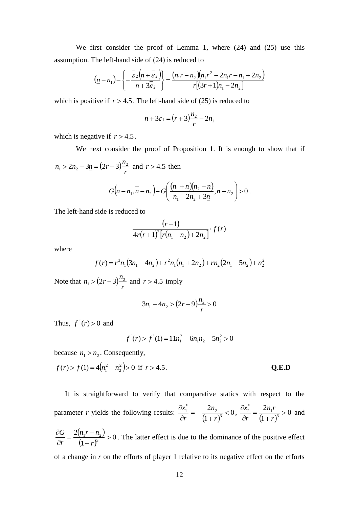We first consider the proof of Lemma 1, where (24) and (25) use this assumption. The left-hand side of (24) is reduced to

$$
(\underline{n} - n_1) - \left\{ -\frac{\overline{\varepsilon}_2 (n + \overline{\varepsilon}_2)}{n + 3\overline{\varepsilon}_2} \right\} = \frac{(n_1 r - n_2)(n_1 r^2 - 2n_1 r - n_1 + 2n_2)}{r[(3r + 1)n_1 - 2n_2]}
$$

which is positive if  $r > 4.5$ . The left-hand side of (25) is reduced to

$$
n + 3\overline{\varepsilon}_1 = (r + 3)\frac{n_2}{r} - 2n_1
$$

which is negative if  $r > 4.5$ .

We next consider the proof of Proposition 1. It is enough to show that if  $(2r-3)$ *r*  $n_1 > 2n_2 - 3n = (2r - 3)\frac{n_2}{n}$  and  $r > 4.5$  then

$$
G(n - n_1, n - n_2) - G\left(\frac{(n_1 + n)(n_2 - n)}{n_1 - 2n_2 + 3n}, n - n_2\right) > 0.
$$

The left-hand side is reduced to

$$
\frac{(r-1)}{4r(r+1)^2[r(n_1-n_2)+2n_2]} \cdot f(r)
$$

where

$$
f(r) = r3n1(3n1 - 4n2) + r2n1(n1 + 2n2) + rn2(2n1 - 5n2) + n22
$$

Note that  $n_1 > (2r-3)$ *r*  $n_1 > (2r-3)\frac{n_2}{n_1}$  and  $r > 4.5$  imply

$$
3n_1 - 4n_2 > (2r - 9)\frac{n_2}{r} > 0
$$

Thus,  $f''(r) > 0$  and

$$
f'(r) > f'(1) = 11n_1^2 - 6n_1n_2 - 5n_2^2 > 0
$$

because  $n_1 > n_2$ . Consequently,

$$
f(r) > f(1) = 4(n_1^2 - n_2^2) > 0 \text{ if } r > 4.5.
$$
 Q.E.D

It is straightforward to verify that comparative statics with respect to the parameter *r* yields the following results:  $(1+r)^3$  $\boldsymbol{0}$  $\left( 1\right)$ 2 3 2 \*  $\frac{1}{1} = -\frac{2n_2}{(1-\sqrt{3})^2}$  $\overline{+}$  $=$   $\hat{o}$  $\widehat{o}$ *r n r*  $\frac{x_1^*}{x_2^*} = -\frac{2n_2}{(x_1-x_2)^3} < 0$ ,  $(1+r)^{2}$ 0  $\left(1\right)$ 2 3 1 \*  $\frac{2}{2} = \frac{2n_1r}{(2n_1r^2)^2}$  $\overline{+}$  $=$  $\partial$  $\partial$ *r*  $n_1r$ *r*  $\frac{dx_2^*}{dx_2} = \frac{2n_1r}{(x_1-x_2)^3} > 0$  and

 $(n_1r - n_2)$  $(1+r)^3$ 0  $\left(1\right)$ 2  $\frac{1}{1}$   $\frac{n_2}{3}$  >  $\ddot{}$  $=\frac{2(n_1r-1)}{r}$  $\partial$  $\partial$ *r*  $n_1 r - n$ *r*  $\frac{G}{G} = \frac{2(n_1r - n_2)}{(r-1)^3} > 0$ . The latter effect is due to the dominance of the positive effect of a change in *r* on the efforts of player 1 relative to its negative effect on the efforts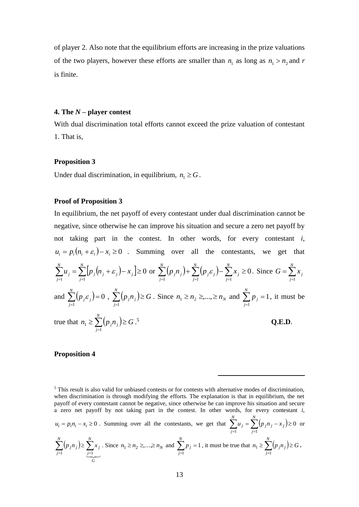of player 2. Also note that the equilibrium efforts are increasing in the prize valuations of the two players, however these efforts are smaller than  $n_1$  as long as  $n_1 > n_2$  and *r* is finite.

## **4. The** *N* **– player contest**

With dual discrimination total efforts cannot exceed the prize valuation of contestant 1. That is,

#### **Proposition 3**

Under dual discrimination, in equilibrium,  $n_1 \geq G$ .

#### **Proof of Proposition 3**

In equilibrium, the net payoff of every contestant under dual discrimination cannot be negative, since otherwise he can improve his situation and secure a zero net payoff by not taking part in the contest. In other words, for every contestant *i*,  $u_i = p_i(n_i + \varepsilon_i) - x_i \ge 0$ . Summing over all the contestants, we get that  $|p_i(n_i+\varepsilon_i)-x_i|\geq 0$  $\sum_{j=1}^{n} u_j = \sum_{j=1}^{n} \Big[ p_j \Big( n_j + \varepsilon_j \Big) - x_j \Big] \geq$ *N j*  $j \vee j$  *j*  $\sigma$  *j*  $j - \lambda$ *N j*  $u_j = \sum p_j (n_j + \varepsilon_j) - x_j \ge 0$  or  $\sum (p_j n_j) + \sum (p_j \varepsilon_j) - \sum x_j \ge 0$  $\sum_{j=1}^n (p_j n_j) + \sum_{j=1}^n (p_j \varepsilon_j) - \sum_{j=1}^n x_j \ge$ *N j j N j j j N j*  $p_j n_j$  +  $\sum_{j=1}^{N} (p_j \varepsilon_j) - \sum_{j=1}^{N} x_j \ge 0$ . Since  $G = \sum_{j=1}^{N}$ *j*  $G = \sum x_j$ 1 and  $\sum (p_i \varepsilon_i) = 0$  $\sum_{j=1}^{\infty} (p_{j} \varepsilon_{j}) =$ *N j*  $p_j \varepsilon_j$  = 0,  $\sum_{i=1}^{N} (p_j n_j) \ge G$  $\sum_{j=1}^{\infty} (p_j n_j) \geq$ . Since  $n_1 \ge n_2 \ge \dots \ge n_N$  and  $\sum p_j = 1$  $\sum_{j=1} P_j =$ *N j*  $p_j = 1$ , it must be true that  $n_1 \ge \sum_{i=1}^{N} (p_i n_i) \ge G$  $\geq \sum_{j=1}^{n} (p_j n_j) \geq$  $E_1 \geq \sum (p_j n_j) \geq G$ .<sup>5</sup> **Q.E.D**.

#### **Proposition 4**

 $\overline{a}$ 

$$
u_i = p_i n_i - x_i \ge 0
$$
. Summing over all the contents, we get that 
$$
\sum_{j=1}^{N} u_j = \sum_{j=1}^{N} (p_j n_j - x_j) \ge 0
$$
 or   
*N*

$$
\sum_{j=1}^{N} (p_j n_j) \ge \sum_{\substack{j=1 \ j \in \mathbb{Z} \\ G}}^{N} x_j
$$
. Since  $n_1 \ge n_2 \ge \dots \ge n_N$  and  $\sum_{j=1}^{N} p_j = 1$ , it must be true that  $n_1 \ge \sum_{j=1}^{N} (p_j n_j) \ge G$ .

<sup>&</sup>lt;sup>5</sup> This result is also valid for unbiased contests or for contests with alternative modes of discrimination, when discrimination is through modifying the efforts. The explanation is that in equilibrium, the net payoff of every contestant cannot be negative, since otherwise he can improve his situation and secure a zero net payoff by not taking part in the contest. In other words, for every contestant *i*,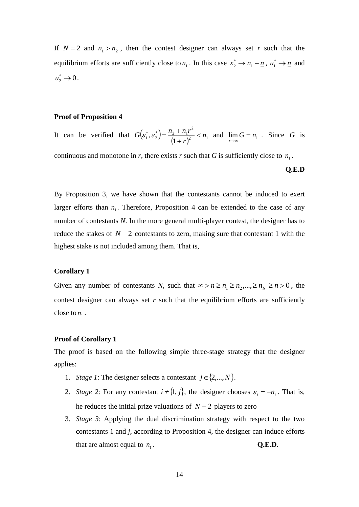If  $N = 2$  and  $n_1 > n_2$ , then the contest designer can always set *r* such that the equilibrium efforts are sufficiently close to  $n_1$ . In this case  $x_2^* \rightarrow n_1 - \underline{n}$  $u_2^* \to n_1 - \underline{n} \,,\ u_1^* \to \underline{n}$  $u_1^* \rightarrow \underline{n}$  and  $u_2^* \to 0$ .

#### **Proof of Proposition 4**

It can be verified that  $G(\varepsilon_1^*, \varepsilon_2^*)$  $(1+r)^2$  $\binom{1}{2} = \frac{n_2 + n_1 r^2}{(1 - r^2)^2}$ \*  $(1, \mathbf{c}_2)$   $(1, \mathbf{c}_2)$  $\left( \varepsilon_2^* \right) = \frac{n_2 + n_1}{(n_1 + n_2)} < n$ *r*  $G(\varepsilon_1^*, \varepsilon_2^*) = \frac{n_2 + n_1 r^2}{(n_1 + n_2)^2}$  $^{+}$  $(a_1^*, a_2^*) = \frac{n_2 + n_1 r^2}{(1+r)^2} < n_1$  and  $\lim_{r \to \infty} G = n_1$ . Since G is continuous and monotone in *r*, there exists *r* such that *G* is sufficiently close to  $n_1$ .

**Q.E.D**

By Proposition 3, we have shown that the contestants cannot be induced to exert larger efforts than  $n_1$ . Therefore, Proposition 4 can be extended to the case of any number of contestants *N*. In the more general multi-player contest, the designer has to reduce the stakes of  $N-2$  contestants to zero, making sure that contestant 1 with the highest stake is not included among them. That is,

#### **Corollary 1**

Given any number of contestants *N*, such that  $\infty > n \ge n_1 \ge n_2, ..., \ge n_N \ge n \ge 0$ , the contest designer can always set  $r$  such that the equilibrium efforts are sufficiently close to  $n_1$ .

## **Proof of Corollary 1**

The proof is based on the following simple three-stage strategy that the designer applies:

- 1. *Stage 1*: The designer selects a contestant  $j \in \{2,...,N\}$ .
- 2. *Stage* 2: For any contestant  $i \neq \{1, j\}$ , the designer chooses  $\varepsilon_i = -n_i$ . That is, he reduces the initial prize valuations of  $N-2$  players to zero
- 3. *Stage 3*: Applying the dual discrimination strategy with respect to the two contestants 1 and *j*, according to Proposition 4, the designer can induce efforts that are almost equal to  $n_1$ . <sup>1</sup> *n* . **Q.E.D**.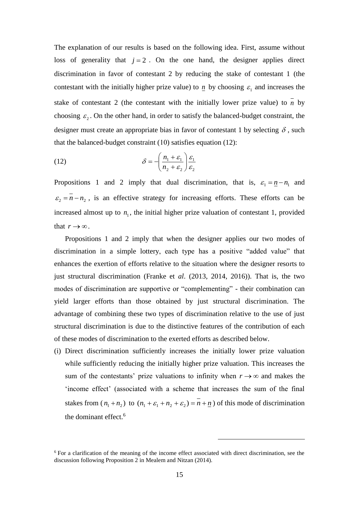The explanation of our results is based on the following idea. First, assume without loss of generality that  $j = 2$ . On the one hand, the designer applies direct discrimination in favor of contestant 2 by reducing the stake of contestant 1 (the contestant with the initially higher prize value) to  $\mathbf{n}$  by choosing  $\mathbf{\varepsilon}_1$  and increases the stake of contestant 2 (the contestant with the initially lower prize value) to  $n$  by choosing  $\varepsilon_2$ . On the other hand, in order to satisfy the balanced-budget constraint, the designer must create an appropriate bias in favor of contestant 1 by selecting  $\delta$ , such that the balanced-budget constraint (10) satisfies equation (12):

(12) 
$$
\delta = -\left(\frac{n_1 + \varepsilon_1}{n_2 + \varepsilon_2}\right)\frac{\varepsilon_1}{\varepsilon_2}
$$

Propositions 1 and 2 imply that dual discrimination, that is,  $\varepsilon_1 = \underline{n} - n_1$  and  $\varepsilon_2 = n - n_2$ , is an effective strategy for increasing efforts. These efforts can be increased almost up to  $n_1$ , the initial higher prize valuation of contestant 1, provided that  $r \rightarrow \infty$ .

Propositions 1 and 2 imply that when the designer applies our two modes of discrimination in a simple lottery, each type has a positive "added value" that enhances the exertion of efforts relative to the situation where the designer resorts to just structural discrimination (Franke et *al*. (2013, 2014, 2016)). That is, the two modes of discrimination are supportive or "complementing" - their combination can yield larger efforts than those obtained by just structural discrimination. The advantage of combining these two types of discrimination relative to the use of just structural discrimination is due to the distinctive features of the contribution of each of these modes of discrimination to the exerted efforts as described below.

(i) Direct discrimination sufficiently increases the initially lower prize valuation while sufficiently reducing the initially higher prize valuation. This increases the sum of the contestants' prize valuations to infinity when  $r \to \infty$  and makes the 'income effect' (associated with a scheme that increases the sum of the final stakes from  $(n_1 + n_2)$  to  $(n_1 + \varepsilon_1 + n_2 + \varepsilon_2) = n + \underline{n}$  of this mode of discrimination the dominant effect.<sup>6</sup>

1

 $6$  For a clarification of the meaning of the income effect associated with direct discrimination, see the discussion following Proposition 2 in Mealem and Nitzan (2014).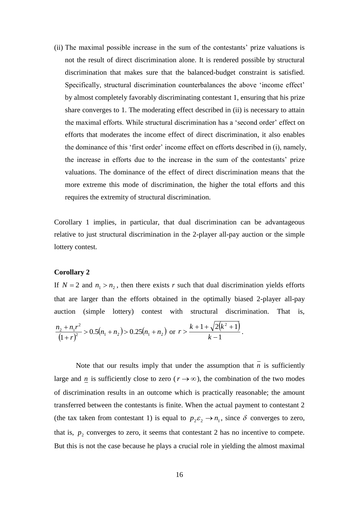(ii) The maximal possible increase in the sum of the contestants' prize valuations is not the result of direct discrimination alone. It is rendered possible by structural discrimination that makes sure that the balanced-budget constraint is satisfied. Specifically, structural discrimination counterbalances the above 'income effect' by almost completely favorably discriminating contestant 1, ensuring that his prize share converges to 1. The moderating effect described in (ii) is necessary to attain the maximal efforts. While structural discrimination has a 'second order' effect on efforts that moderates the income effect of direct discrimination, it also enables the dominance of this 'first order' income effect on efforts described in (i), namely, the increase in efforts due to the increase in the sum of the contestants' prize valuations. The dominance of the effect of direct discrimination means that the more extreme this mode of discrimination, the higher the total efforts and this requires the extremity of structural discrimination.

Corollary 1 implies, in particular, that dual discrimination can be advantageous relative to just structural discrimination in the 2-player all-pay auction or the simple lottery contest.

#### **Corollary 2**

If  $N = 2$  and  $n_1 > n_2$ , then there exists *r* such that dual discrimination yields efforts that are larger than the efforts obtained in the optimally biased 2-player all-pay auction (simple lottery) contest with structural discrimination. That is,  $\frac{n_2 + n_1'}{(1+r)^2} > 0.5(n_1 + n_2) > 0.25(n_1 + n_2)$ 2  $\frac{2+n_1r}{(n_1+r_2)} > 0.5(n_1+n_2) > 0.25$  $\left(1\right)$  $n_1 + n_2$ ) > 0.25( $n_1 + n_2$ ) *r*  $\frac{n_2 + n_1 r^2}{(n_1 + n_2)} > 0.5(n_1 + n_2) > 0.25(n_1 + n_2)$  $^{+}$  $\frac{+n_1r^2}{2}$  > 0.5(n<sub>1</sub> + n<sub>2</sub>) > 0.25(n<sub>1</sub> + n<sub>2</sub>) or  $(k^2+1)$ 1  $1 + \sqrt{2(k^2 + 1)}$  $\overline{a}$  $+1+\sqrt{2(k^2+1)}$  $>$ *k*  $k + 1 + \sqrt{2}$  $r > \frac{r+1+\sqrt{2(r+1)}}{r+1}.$ 

Note that our results imply that under the assumption that  $n$  is sufficiently large and  $\underline{n}$  is sufficiently close to zero ( $r \rightarrow \infty$ ), the combination of the two modes of discrimination results in an outcome which is practically reasonable; the amount transferred between the contestants is finite. When the actual payment to contestant 2 (the tax taken from contestant 1) is equal to  $p_2 \varepsilon_2 \rightarrow n_1$ , since  $\delta$  converges to zero, that is,  $p_2$  converges to zero, it seems that contestant 2 has no incentive to compete. But this is not the case because he plays a crucial role in yielding the almost maximal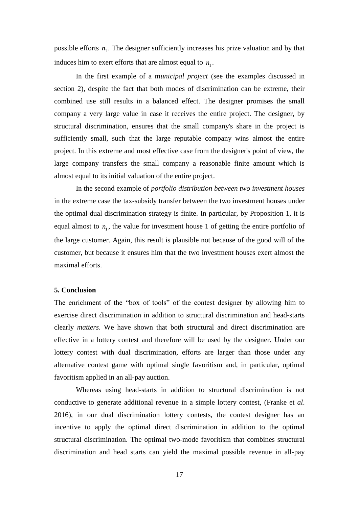possible efforts  $n_1$ . The designer sufficiently increases his prize valuation and by that induces him to exert efforts that are almost equal to  $n_1$ .

In the first example of a m*unicipal project* (see the examples discussed in section 2), despite the fact that both modes of discrimination can be extreme, their combined use still results in a balanced effect. The designer promises the small company a very large value in case it receives the entire project. The designer, by structural discrimination, ensures that the small company's share in the project is sufficiently small, such that the large reputable company wins almost the entire project. In this extreme and most effective case from the designer's point of view, the large company transfers the small company a reasonable finite amount which is almost equal to its initial valuation of the entire project.

In the second example of *portfolio distribution between two investment houses* in the extreme case the tax-subsidy transfer between the two investment houses under the optimal dual discrimination strategy is finite. In particular, by Proposition 1, it is equal almost to  $n_1$ , the value for investment house 1 of getting the entire portfolio of the large customer. Again, this result is plausible not because of the good will of the customer, but because it ensures him that the two investment houses exert almost the maximal efforts.

#### **5. Conclusion**

The enrichment of the "box of tools" of the contest designer by allowing him to exercise direct discrimination in addition to structural discrimination and head-starts clearly *matters*. We have shown that both structural and direct discrimination are effective in a lottery contest and therefore will be used by the designer. Under our lottery contest with dual discrimination, efforts are larger than those under any alternative contest game with optimal single favoritism and, in particular, optimal favoritism applied in an all-pay auction.

Whereas using head-starts in addition to structural discrimination is not conductive to generate additional revenue in a simple lottery contest, (Franke et *al*. 2016), in our dual discrimination lottery contests, the contest designer has an incentive to apply the optimal direct discrimination in addition to the optimal structural discrimination. The optimal two-mode favoritism that combines structural discrimination and head starts can yield the maximal possible revenue in all-pay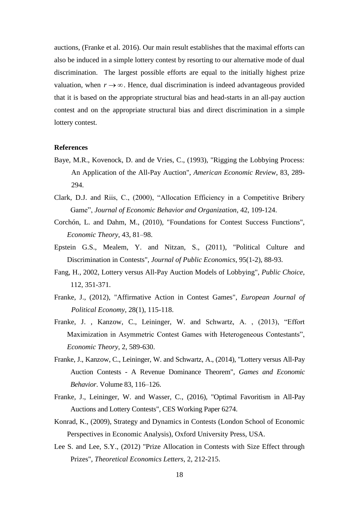auctions, (Franke et al. 2016). Our main result establishes that the maximal efforts can also be induced in a simple lottery contest by resorting to our alternative mode of dual discrimination. The largest possible efforts are equal to the initially highest prize valuation, when  $r \rightarrow \infty$ . Hence, dual discrimination is indeed advantageous provided that it is based on the appropriate structural bias and head-starts in an all-pay auction contest and on the appropriate structural bias and direct discrimination in a simple lottery contest.

#### **References**

- Baye, M.R., Kovenock, D. and de Vries, C., (1993), "Rigging the Lobbying Process: An Application of the All-Pay Auction", *American Economic Review*, 83, 289- 294.
- Clark, D.J. and Riis, C., (2000), "Allocation Efficiency in a Competitive Bribery Game", *Journal of Economic Behavior and Organization*, 42, 109-124.
- Corchón, L. and Dahm, M., (2010), "Foundations for Contest Success Functions", *Economic Theory*, 43, 81–98.
- Epstein G.S., Mealem, Y. and Nitzan, S., (2011), "Political Culture and Discrimination in Contests", *Journal of Public Economics*, 95(1-2), 88-93.
- Fang, H., 2002, Lottery versus All-Pay Auction Models of Lobbying", *Public Choice*, 112, 351-371.
- Franke, J., (2012), "Affirmative Action in Contest Games", *European Journal of Political Economy*, 28(1), 115-118.
- Franke, J. , Kanzow, C., Leininger, W. and Schwartz, A. , (2013), "Effort Maximization in Asymmetric Contest Games with Heterogeneous Contestants", *Economic Theory*, 2, 589-630.
- Franke, J., Kanzow, C., Leininger, W. and Schwartz, A., (2014), "Lottery versus All-Pay Auction Contests - A Revenue Dominance Theorem", *Games and Economic Behavior*. [Volume 83,](http://www.sciencedirect.com/science/journal/08998256/83/supp/C) 116–126.
- Franke, J., Leininger, W. and Wasser, C., (2016), "Optimal Favoritism in All-Pay Auctions and Lottery Contests", CES Working Paper 6274.
- Konrad, K., (2009), Strategy and Dynamics in Contests (London School of Economic Perspectives in Economic Analysis), Oxford University Press, USA.
- Lee S. and Lee, S.Y., (2012) "Prize Allocation in Contests with Size Effect through Prizes", *Theoretical Economics Letters*, 2, 212-215.